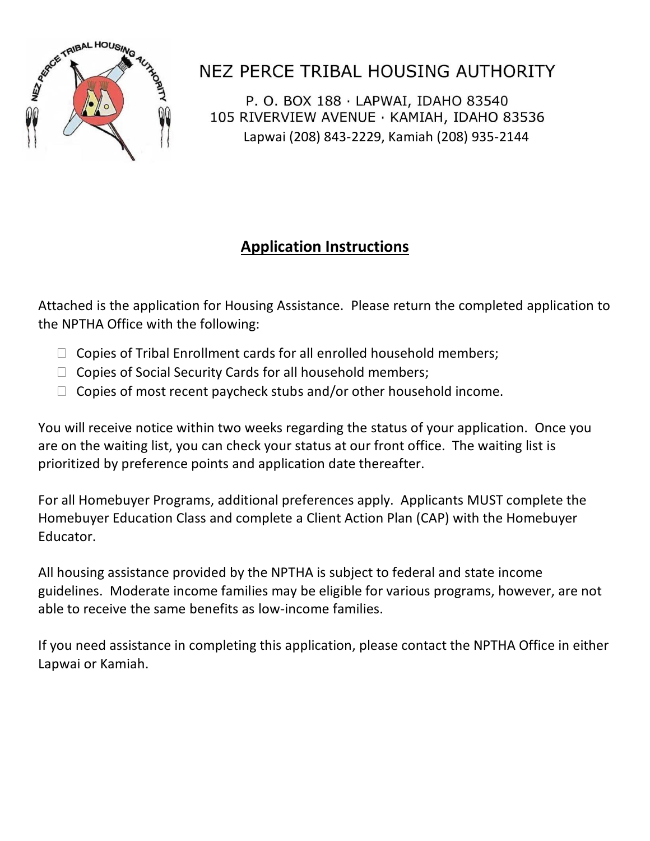

## NEZ PERCE TRIBAL HOUSING AUTHORITY

P. O. BOX 188 · LAPWAI, IDAHO 83540 105 RIVERVIEW AVENUE · KAMIAH, IDAHO 83536 Lapwai (208) 843-2229, Kamiah (208) 935-2144

### **Application Instructions**

Attached is the application for Housing Assistance. Please return the completed application to the NPTHA Office with the following:

- $\Box$  Copies of Tribal Enrollment cards for all enrolled household members;
- $\Box$  Copies of Social Security Cards for all household members;
- $\Box$  Copies of most recent paycheck stubs and/or other household income.

You will receive notice within two weeks regarding the status of your application. Once you are on the waiting list, you can check your status at our front office. The waiting list is prioritized by preference points and application date thereafter.

For all Homebuyer Programs, additional preferences apply. Applicants MUST complete the Homebuyer Education Class and complete a Client Action Plan (CAP) with the Homebuyer Educator.

All housing assistance provided by the NPTHA is subject to federal and state income guidelines. Moderate income families may be eligible for various programs, however, are not able to receive the same benefits as low-income families.

If you need assistance in completing this application, please contact the NPTHA Office in either Lapwai or Kamiah.